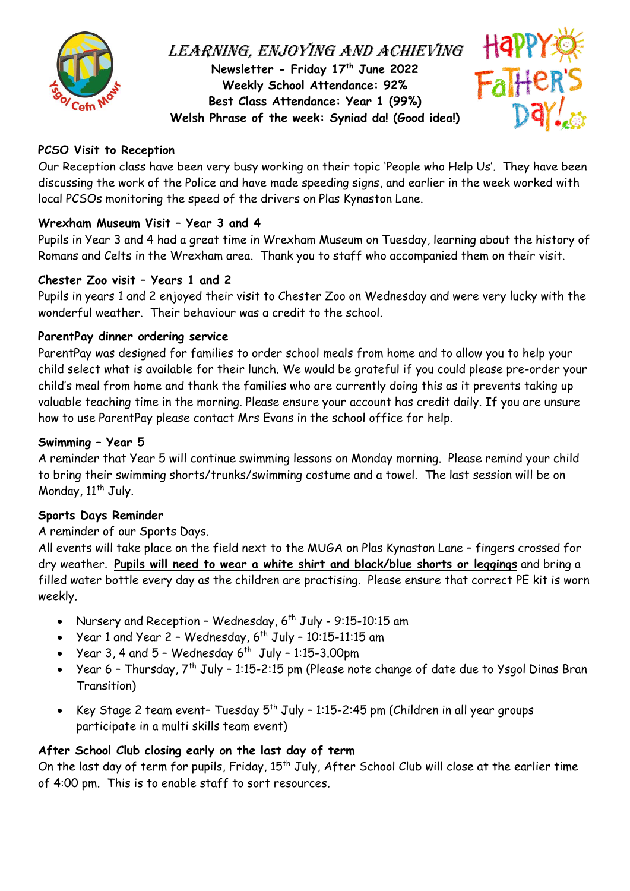

# LEARNING, ENJOYING AND ACHIEVING **Newsletter - Friday 17 th June 2022 Weekly School Attendance: 92% Best Class Attendance: Year 1 (99%) Welsh Phrase of the week: Syniad da! (Good idea!)**



## **PCSO Visit to Reception**

Our Reception class have been very busy working on their topic 'People who Help Us'. They have been discussing the work of the Police and have made speeding signs, and earlier in the week worked with local PCSOs monitoring the speed of the drivers on Plas Kynaston Lane.

### **Wrexham Museum Visit – Year 3 and 4**

Pupils in Year 3 and 4 had a great time in Wrexham Museum on Tuesday, learning about the history of Romans and Celts in the Wrexham area. Thank you to staff who accompanied them on their visit.

### **Chester Zoo visit – Years 1 and 2**

Pupils in years 1 and 2 enjoyed their visit to Chester Zoo on Wednesday and were very lucky with the wonderful weather. Their behaviour was a credit to the school.

### **ParentPay dinner ordering service**

ParentPay was designed for families to order school meals from home and to allow you to help your child select what is available for their lunch. We would be grateful if you could please pre-order your child's meal from home and thank the families who are currently doing this as it prevents taking up valuable teaching time in the morning. Please ensure your account has credit daily. If you are unsure how to use ParentPay please contact Mrs Evans in the school office for help.

### **Swimming – Year 5**

A reminder that Year 5 will continue swimming lessons on Monday morning. Please remind your child to bring their swimming shorts/trunks/swimming costume and a towel. The last session will be on Monday,  $11^{th}$  July.

### **Sports Days Reminder**

#### A reminder of our Sports Days.

All events will take place on the field next to the MUGA on Plas Kynaston Lane – fingers crossed for dry weather. **Pupils will need to wear a white shirt and black/blue shorts or leggings** and bring a filled water bottle every day as the children are practising. Please ensure that correct PE kit is worn weekly.

- Nursery and Reception Wednesday,  $6^{th}$  July 9:15-10:15 am
- Year 1 and Year 2 Wednesday,  $6^{th}$  July 10:15-11:15 am
- Year 3, 4 and  $5$  Wednesday  $6^{th}$  July 1:15-3.00pm
- Year 6 Thursday,  $7^{th}$  July 1:15-2:15 pm (Please note change of date due to Ysgol Dinas Bran Transition)
- Key Stage 2 team event- Tuesday  $5^{th}$  July 1:15-2:45 pm (Children in all year groups participate in a multi skills team event)

### **After School Club closing early on the last day of term**

On the last day of term for pupils, Friday, 15<sup>th</sup> July, After School Club will close at the earlier time of 4:00 pm. This is to enable staff to sort resources.